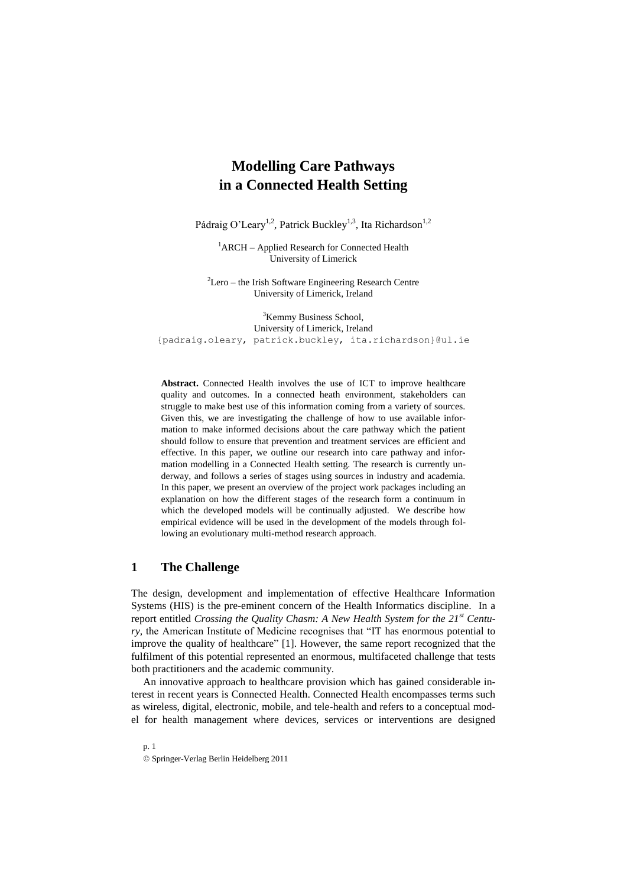# **Modelling Care Pathways in a Connected Health Setting**

Pádraig O'Leary<sup>1,2</sup>, Patrick Buckley<sup>1,3</sup>, Ita Richardson<sup>1,2</sup>

<sup>1</sup>ARCH – Applied Research for Connected Health University of Limerick

 ${}^{2}$ Lero – the Irish Software Engineering Research Centre University of Limerick, Ireland

<sup>3</sup>Kemmy Business School, University of Limerick, Ireland {padraig.oleary, patrick.buckley, ita.richardson}@ul.ie

**Abstract.** Connected Health involves the use of ICT to improve healthcare quality and outcomes. In a connected heath environment, stakeholders can struggle to make best use of this information coming from a variety of sources. Given this, we are investigating the challenge of how to use available information to make informed decisions about the care pathway which the patient should follow to ensure that prevention and treatment services are efficient and effective. In this paper, we outline our research into care pathway and information modelling in a Connected Health setting. The research is currently underway, and follows a series of stages using sources in industry and academia. In this paper, we present an overview of the project work packages including an explanation on how the different stages of the research form a continuum in which the developed models will be continually adjusted. We describe how empirical evidence will be used in the development of the models through following an evolutionary multi-method research approach.

# **1 The Challenge**

The design, development and implementation of effective Healthcare Information Systems (HIS) is the pre-eminent concern of the Health Informatics discipline. In a report entitled *Crossing the Quality Chasm: A New Health System for the 21st Century,* the American Institute of Medicine recognises that "IT has enormous potential to improve the quality of healthcare" [1]. However, the same report recognized that the fulfilment of this potential represented an enormous, multifaceted challenge that tests both practitioners and the academic community.

An innovative approach to healthcare provision which has gained considerable interest in recent years is Connected Health. Connected Health encompasses terms such as wireless, digital, electronic, mobile, and tele-health and refers to a conceptual model for health management where devices, services or interventions are designed

<sup>©</sup> Springer-Verlag Berlin Heidelberg 2011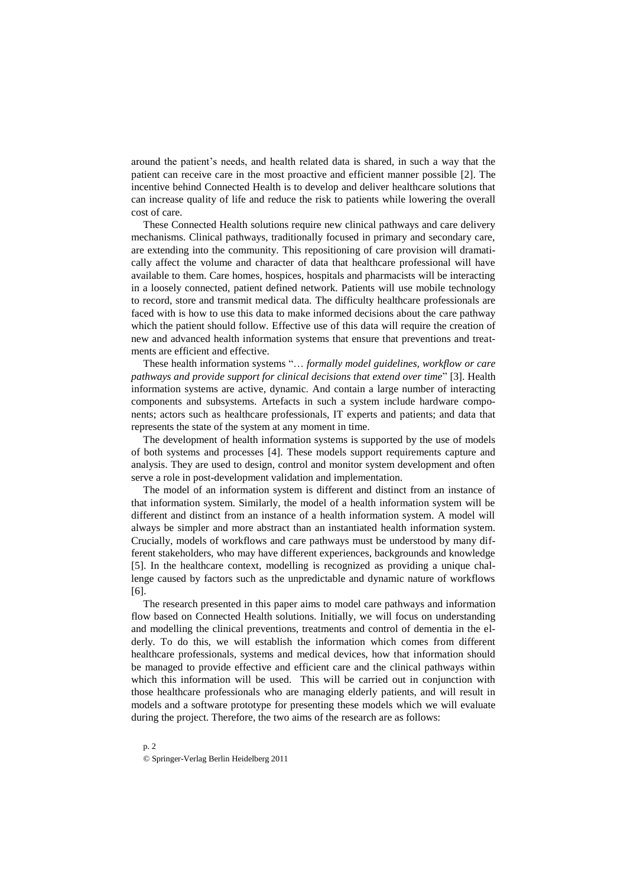around the patient's needs, and health related data is shared, in such a way that the patient can receive care in the most proactive and efficient manner possible [2]. The incentive behind Connected Health is to develop and deliver healthcare solutions that can increase quality of life and reduce the risk to patients while lowering the overall cost of care.

These Connected Health solutions require new clinical pathways and care delivery mechanisms. Clinical pathways, traditionally focused in primary and secondary care, are extending into the community. This repositioning of care provision will dramatically affect the volume and character of data that healthcare professional will have available to them. Care homes, hospices, hospitals and pharmacists will be interacting in a loosely connected, patient defined network. Patients will use mobile technology to record, store and transmit medical data. The difficulty healthcare professionals are faced with is how to use this data to make informed decisions about the care pathway which the patient should follow. Effective use of this data will require the creation of new and advanced health information systems that ensure that preventions and treatments are efficient and effective.

These health information systems "… *formally model guidelines, workflow or care pathways and provide support for clinical decisions that extend over time*" [3]. Health information systems are active, dynamic. And contain a large number of interacting components and subsystems. Artefacts in such a system include hardware components; actors such as healthcare professionals, IT experts and patients; and data that represents the state of the system at any moment in time.

The development of health information systems is supported by the use of models of both systems and processes [4]. These models support requirements capture and analysis. They are used to design, control and monitor system development and often serve a role in post-development validation and implementation.

The model of an information system is different and distinct from an instance of that information system. Similarly, the model of a health information system will be different and distinct from an instance of a health information system. A model will always be simpler and more abstract than an instantiated health information system. Crucially, models of workflows and care pathways must be understood by many different stakeholders, who may have different experiences, backgrounds and knowledge [5]. In the healthcare context, modelling is recognized as providing a unique challenge caused by factors such as the unpredictable and dynamic nature of workflows [6].

The research presented in this paper aims to model care pathways and information flow based on Connected Health solutions. Initially, we will focus on understanding and modelling the clinical preventions, treatments and control of dementia in the elderly. To do this, we will establish the information which comes from different healthcare professionals, systems and medical devices, how that information should be managed to provide effective and efficient care and the clinical pathways within which this information will be used. This will be carried out in conjunction with those healthcare professionals who are managing elderly patients, and will result in models and a software prototype for presenting these models which we will evaluate during the project. Therefore, the two aims of the research are as follows: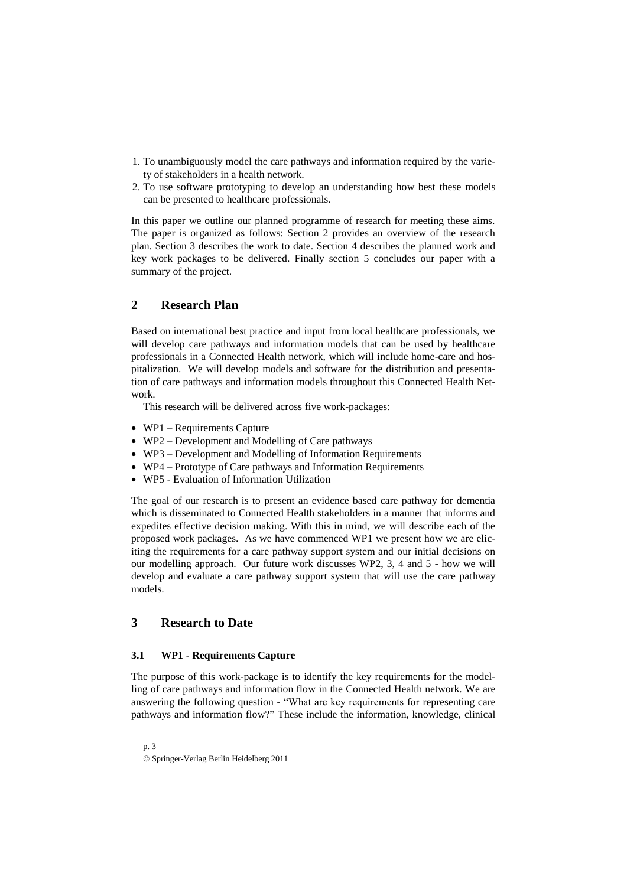- 1. To unambiguously model the care pathways and information required by the variety of stakeholders in a health network.
- 2. To use software prototyping to develop an understanding how best these models can be presented to healthcare professionals.

In this paper we outline our planned programme of research for meeting these aims. The paper is organized as follows: Section 2 provides an overview of the research plan. Section 3 describes the work to date. Section 4 describes the planned work and key work packages to be delivered. Finally section 5 concludes our paper with a summary of the project.

## **2 Research Plan**

Based on international best practice and input from local healthcare professionals, we will develop care pathways and information models that can be used by healthcare professionals in a Connected Health network, which will include home-care and hospitalization. We will develop models and software for the distribution and presentation of care pathways and information models throughout this Connected Health Network.

This research will be delivered across five work-packages:

- WP1 Requirements Capture
- WP2 Development and Modelling of Care pathways
- WP3 Development and Modelling of Information Requirements
- WP4 Prototype of Care pathways and Information Requirements
- WP5 Evaluation of Information Utilization

The goal of our research is to present an evidence based care pathway for dementia which is disseminated to Connected Health stakeholders in a manner that informs and expedites effective decision making. With this in mind, we will describe each of the proposed work packages. As we have commenced WP1 we present how we are eliciting the requirements for a care pathway support system and our initial decisions on our modelling approach. Our future work discusses WP2, 3, 4 and 5 - how we will develop and evaluate a care pathway support system that will use the care pathway models.

## **3 Research to Date**

#### **3.1 WP1 - Requirements Capture**

The purpose of this work-package is to identify the key requirements for the modelling of care pathways and information flow in the Connected Health network. We are answering the following question - "What are key requirements for representing care pathways and information flow?" These include the information, knowledge, clinical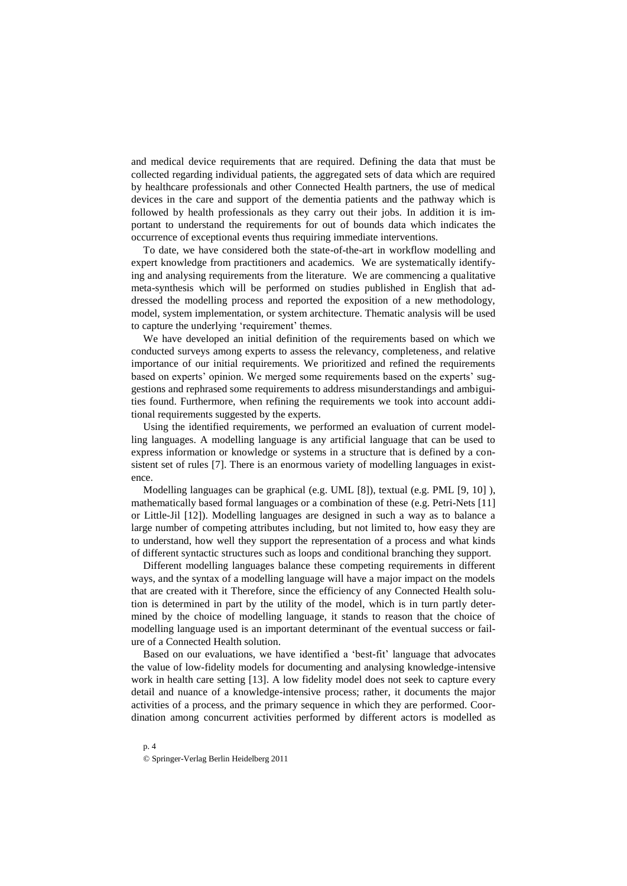and medical device requirements that are required. Defining the data that must be collected regarding individual patients, the aggregated sets of data which are required by healthcare professionals and other Connected Health partners, the use of medical devices in the care and support of the dementia patients and the pathway which is followed by health professionals as they carry out their jobs. In addition it is important to understand the requirements for out of bounds data which indicates the occurrence of exceptional events thus requiring immediate interventions.

To date, we have considered both the state-of-the-art in workflow modelling and expert knowledge from practitioners and academics. We are systematically identifying and analysing requirements from the literature. We are commencing a qualitative meta-synthesis which will be performed on studies published in English that addressed the modelling process and reported the exposition of a new methodology, model, system implementation, or system architecture. Thematic analysis will be used to capture the underlying 'requirement' themes.

We have developed an initial definition of the requirements based on which we conducted surveys among experts to assess the relevancy, completeness, and relative importance of our initial requirements. We prioritized and refined the requirements based on experts' opinion. We merged some requirements based on the experts' suggestions and rephrased some requirements to address misunderstandings and ambiguities found. Furthermore, when refining the requirements we took into account additional requirements suggested by the experts.

Using the identified requirements, we performed an evaluation of current modelling languages. A modelling language is any artificial language that can be used to express information or knowledge or systems in a structure that is defined by a consistent set of rules [7]. There is an enormous variety of modelling languages in existence.

Modelling languages can be graphical (e.g. UML [8]), textual (e.g. PML [9, 10] ), mathematically based formal languages or a combination of these (e.g. Petri-Nets [11] or Little-Jil [12]). Modelling languages are designed in such a way as to balance a large number of competing attributes including, but not limited to, how easy they are to understand, how well they support the representation of a process and what kinds of different syntactic structures such as loops and conditional branching they support.

Different modelling languages balance these competing requirements in different ways, and the syntax of a modelling language will have a major impact on the models that are created with it Therefore, since the efficiency of any Connected Health solution is determined in part by the utility of the model, which is in turn partly determined by the choice of modelling language, it stands to reason that the choice of modelling language used is an important determinant of the eventual success or failure of a Connected Health solution.

Based on our evaluations, we have identified a 'best-fit' language that advocates the value of low-fidelity models for documenting and analysing knowledge-intensive work in health care setting [13]. A low fidelity model does not seek to capture every detail and nuance of a knowledge-intensive process; rather, it documents the major activities of a process, and the primary sequence in which they are performed. Coordination among concurrent activities performed by different actors is modelled as

<sup>©</sup> Springer-Verlag Berlin Heidelberg 2011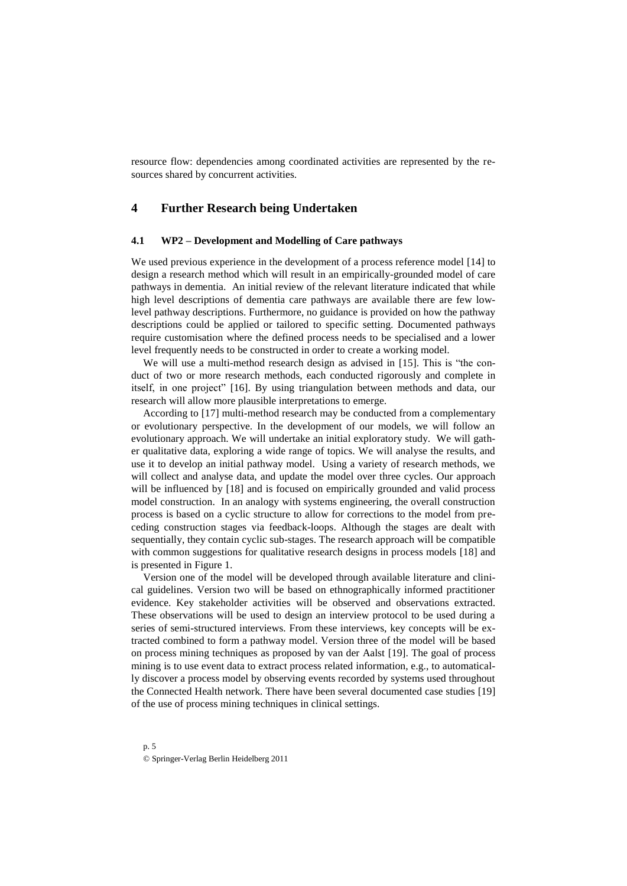resource flow: dependencies among coordinated activities are represented by the resources shared by concurrent activities.

## **4 Further Research being Undertaken**

## **4.1 WP2 – Development and Modelling of Care pathways**

We used previous experience in the development of a process reference model [14] to design a research method which will result in an empirically-grounded model of care pathways in dementia. An initial review of the relevant literature indicated that while high level descriptions of dementia care pathways are available there are few lowlevel pathway descriptions. Furthermore, no guidance is provided on how the pathway descriptions could be applied or tailored to specific setting. Documented pathways require customisation where the defined process needs to be specialised and a lower level frequently needs to be constructed in order to create a working model.

We will use a multi-method research design as advised in [15]. This is "the conduct of two or more research methods, each conducted rigorously and complete in itself, in one project" [16]. By using triangulation between methods and data, our research will allow more plausible interpretations to emerge.

According to [17] multi-method research may be conducted from a complementary or evolutionary perspective. In the development of our models, we will follow an evolutionary approach. We will undertake an initial exploratory study. We will gather qualitative data, exploring a wide range of topics. We will analyse the results, and use it to develop an initial pathway model. Using a variety of research methods, we will collect and analyse data, and update the model over three cycles. Our approach will be influenced by [18] and is focused on empirically grounded and valid process model construction. In an analogy with systems engineering, the overall construction process is based on a cyclic structure to allow for corrections to the model from preceding construction stages via feedback-loops. Although the stages are dealt with sequentially, they contain cyclic sub-stages. The research approach will be compatible with common suggestions for qualitative research designs in process models [18] and is presented in Figure 1.

Version one of the model will be developed through available literature and clinical guidelines. Version two will be based on ethnographically informed practitioner evidence. Key stakeholder activities will be observed and observations extracted. These observations will be used to design an interview protocol to be used during a series of semi-structured interviews. From these interviews, key concepts will be extracted combined to form a pathway model. Version three of the model will be based on process mining techniques as proposed by van der Aalst [19]. The goal of process mining is to use event data to extract process related information, e.g., to automatically discover a process model by observing events recorded by systems used throughout the Connected Health network. There have been several documented case studies [19] of the use of process mining techniques in clinical settings.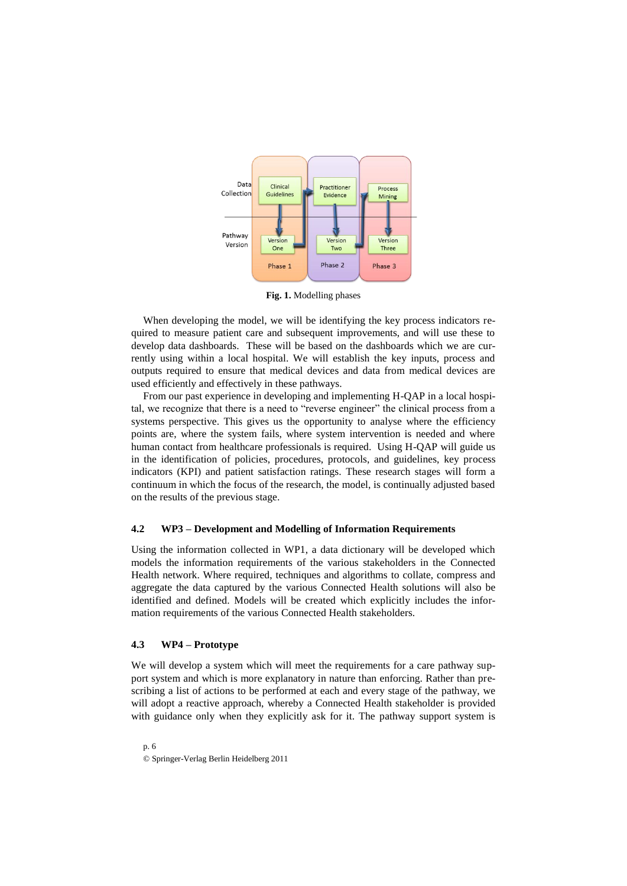

**Fig. 1.** Modelling phases

When developing the model, we will be identifying the key process indicators required to measure patient care and subsequent improvements, and will use these to develop data dashboards. These will be based on the dashboards which we are currently using within a local hospital. We will establish the key inputs, process and outputs required to ensure that medical devices and data from medical devices are used efficiently and effectively in these pathways.

From our past experience in developing and implementing H-QAP in a local hospital, we recognize that there is a need to "reverse engineer" the clinical process from a systems perspective. This gives us the opportunity to analyse where the efficiency points are, where the system fails, where system intervention is needed and where human contact from healthcare professionals is required. Using H-QAP will guide us in the identification of policies, procedures, protocols, and guidelines, key process indicators (KPI) and patient satisfaction ratings. These research stages will form a continuum in which the focus of the research, the model, is continually adjusted based on the results of the previous stage.

#### **4.2 WP3 – Development and Modelling of Information Requirements**

Using the information collected in WP1, a data dictionary will be developed which models the information requirements of the various stakeholders in the Connected Health network. Where required, techniques and algorithms to collate, compress and aggregate the data captured by the various Connected Health solutions will also be identified and defined. Models will be created which explicitly includes the information requirements of the various Connected Health stakeholders.

#### **4.3 WP4 – Prototype**

We will develop a system which will meet the requirements for a care pathway support system and which is more explanatory in nature than enforcing. Rather than prescribing a list of actions to be performed at each and every stage of the pathway, we will adopt a reactive approach, whereby a Connected Health stakeholder is provided with guidance only when they explicitly ask for it. The pathway support system is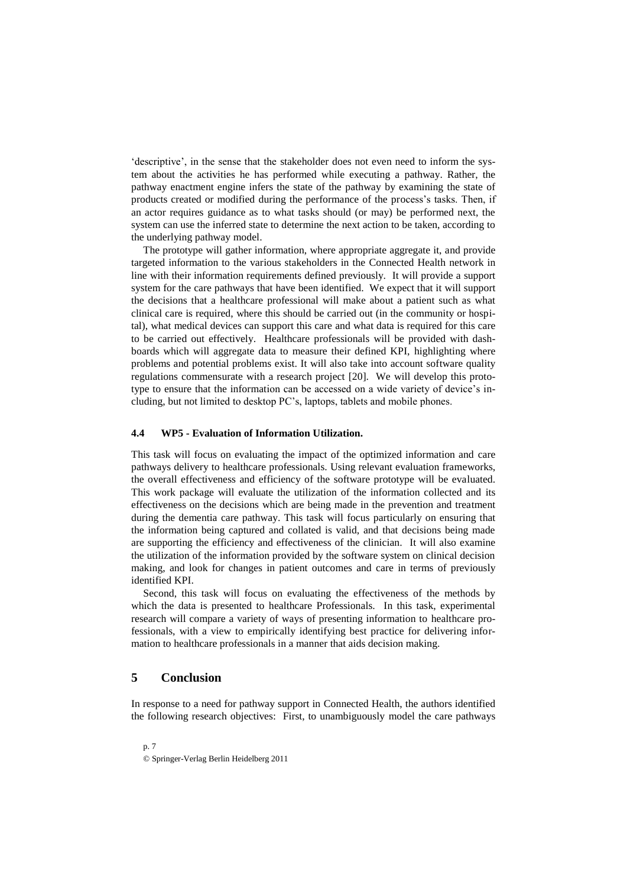'descriptive', in the sense that the stakeholder does not even need to inform the system about the activities he has performed while executing a pathway. Rather, the pathway enactment engine infers the state of the pathway by examining the state of products created or modified during the performance of the process's tasks. Then, if an actor requires guidance as to what tasks should (or may) be performed next, the system can use the inferred state to determine the next action to be taken, according to the underlying pathway model.

The prototype will gather information, where appropriate aggregate it, and provide targeted information to the various stakeholders in the Connected Health network in line with their information requirements defined previously. It will provide a support system for the care pathways that have been identified. We expect that it will support the decisions that a healthcare professional will make about a patient such as what clinical care is required, where this should be carried out (in the community or hospital), what medical devices can support this care and what data is required for this care to be carried out effectively. Healthcare professionals will be provided with dashboards which will aggregate data to measure their defined KPI, highlighting where problems and potential problems exist. It will also take into account software quality regulations commensurate with a research project [20]. We will develop this prototype to ensure that the information can be accessed on a wide variety of device's including, but not limited to desktop PC's, laptops, tablets and mobile phones.

#### **4.4 WP5 - Evaluation of Information Utilization.**

This task will focus on evaluating the impact of the optimized information and care pathways delivery to healthcare professionals. Using relevant evaluation frameworks, the overall effectiveness and efficiency of the software prototype will be evaluated. This work package will evaluate the utilization of the information collected and its effectiveness on the decisions which are being made in the prevention and treatment during the dementia care pathway. This task will focus particularly on ensuring that the information being captured and collated is valid, and that decisions being made are supporting the efficiency and effectiveness of the clinician. It will also examine the utilization of the information provided by the software system on clinical decision making, and look for changes in patient outcomes and care in terms of previously identified KPI.

Second, this task will focus on evaluating the effectiveness of the methods by which the data is presented to healthcare Professionals. In this task, experimental research will compare a variety of ways of presenting information to healthcare professionals, with a view to empirically identifying best practice for delivering information to healthcare professionals in a manner that aids decision making.

## **5 Conclusion**

In response to a need for pathway support in Connected Health, the authors identified the following research objectives: First, to unambiguously model the care pathways

p. 7 © Springer-Verlag Berlin Heidelberg 2011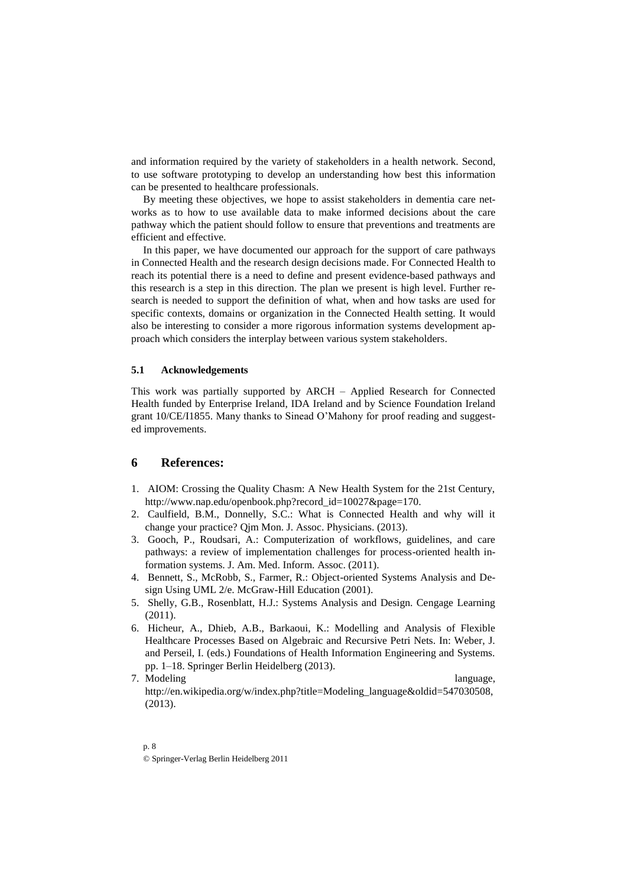and information required by the variety of stakeholders in a health network. Second, to use software prototyping to develop an understanding how best this information can be presented to healthcare professionals.

By meeting these objectives, we hope to assist stakeholders in dementia care networks as to how to use available data to make informed decisions about the care pathway which the patient should follow to ensure that preventions and treatments are efficient and effective.

In this paper, we have documented our approach for the support of care pathways in Connected Health and the research design decisions made. For Connected Health to reach its potential there is a need to define and present evidence-based pathways and this research is a step in this direction. The plan we present is high level. Further research is needed to support the definition of what, when and how tasks are used for specific contexts, domains or organization in the Connected Health setting. It would also be interesting to consider a more rigorous information systems development approach which considers the interplay between various system stakeholders.

#### **5.1 Acknowledgements**

This work was partially supported by ARCH – Applied Research for Connected Health funded by Enterprise Ireland, IDA Ireland and by Science Foundation Ireland grant 10/CE/I1855. Many thanks to Sinead O'Mahony for proof reading and suggested improvements.

## **6 References:**

- 1. AIOM: Crossing the Quality Chasm: A New Health System for the 21st Century, http://www.nap.edu/openbook.php?record\_id=10027&page=170.
- 2. Caulfield, B.M., Donnelly, S.C.: What is Connected Health and why will it change your practice? Qjm Mon. J. Assoc. Physicians. (2013).
- 3. Gooch, P., Roudsari, A.: Computerization of workflows, guidelines, and care pathways: a review of implementation challenges for process-oriented health information systems. J. Am. Med. Inform. Assoc. (2011).
- 4. Bennett, S., McRobb, S., Farmer, R.: Object-oriented Systems Analysis and Design Using UML 2/e. McGraw-Hill Education (2001).
- 5. Shelly, G.B., Rosenblatt, H.J.: Systems Analysis and Design. Cengage Learning (2011).
- 6. Hicheur, A., Dhieb, A.B., Barkaoui, K.: Modelling and Analysis of Flexible Healthcare Processes Based on Algebraic and Recursive Petri Nets. In: Weber, J. and Perseil, I. (eds.) Foundations of Health Information Engineering and Systems. pp. 1–18. Springer Berlin Heidelberg (2013).
- 7. Modeling language, http://en.wikipedia.org/w/index.php?title=Modeling\_language&oldid=547030508, (2013).

p. 8

<sup>©</sup> Springer-Verlag Berlin Heidelberg 2011